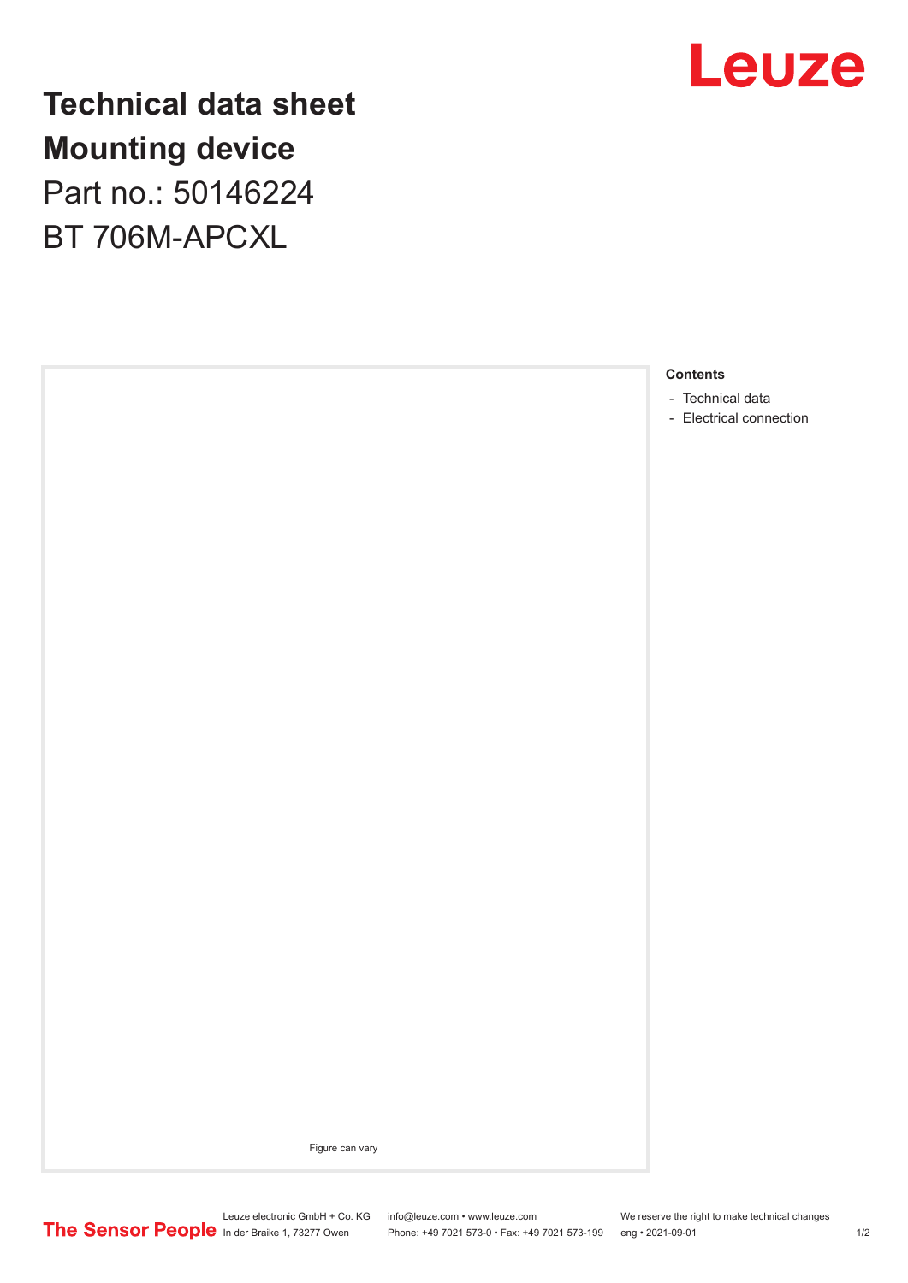

**Technical data sheet Mounting device** Part no.: 50146224 BT 706M-APCXL



- [Technical data](#page-1-0)
- [Electrical connection](#page-1-0)

Figure can vary

In der Braike 1, 73277 Owen Phone: +49 7021 573-0 • Fax: +49 7021 573-199 eng • 2021-09-01